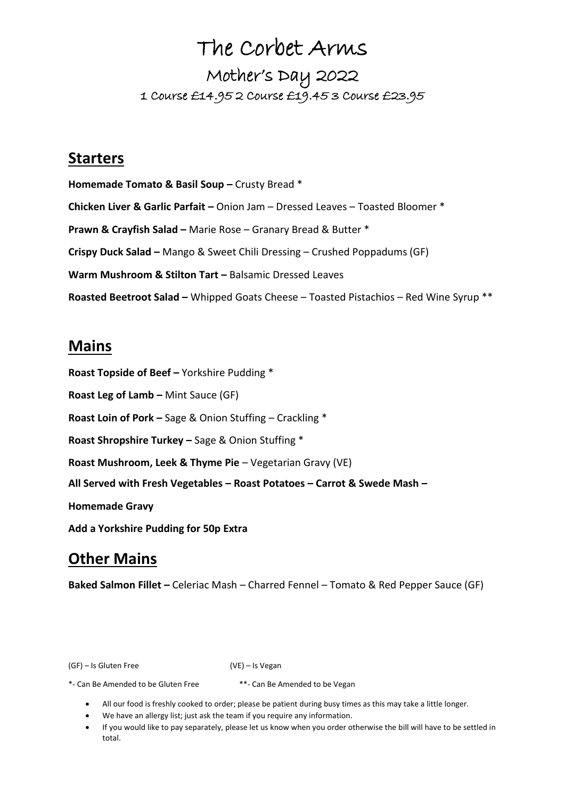# The Corbet Arms

## Mother's Day 2022 1 Course £14.95 2 Course £19.45 3 Course £23.95

### **Starters**

**Homemade Tomato & Basil Soup –** Crusty Bread \* **Chicken Liver & Garlic Parfait –** Onion Jam – Dressed Leaves – Toasted Bloomer \* **Prawn & Crayfish Salad –** Marie Rose – Granary Bread & Butter \* **Crispy Duck Salad –** Mango & Sweet Chili Dressing – Crushed Poppadums (GF) **Warm Mushroom & Stilton Tart -** Balsamic Dressed Leaves **Roasted Beetroot Salad –** Whipped Goats Cheese – Toasted Pistachios – Red Wine Syrup \*\*

### **Mains**

**Roast Topside of Beef –** Yorkshire Pudding \* **Roast Leg of Lamb –** Mint Sauce (GF) **Roast Loin of Pork –** Sage & Onion Stuffing – Crackling \* **Roast Shropshire Turkey –** Sage & Onion Stuffing \* **Roast Mushroom, Leek & Thyme Pie** – Vegetarian Gravy (VE) **All Served with Fresh Vegetables – Roast Potatoes – Carrot & Swede Mash – Homemade Gravy Add a Yorkshire Pudding for 50p Extra**

## **Other Mains**

**Baked Salmon Fillet –** Celeriac Mash – Charred Fennel – Tomato & Red Pepper Sauce (GF)

(GF) – Is Gluten Free (VE) – Is Vegan

\*- Can Be Amended to be Gluten Free \*\*- Can Be Amended to be Vegan

• All our food is freshly cooked to order; please be patient during busy times as this may take a little longer.

- We have an allergy list; just ask the team if you require any information.
- If you would like to pay separately, please let us know when you order otherwise the bill will have to be settled in total.